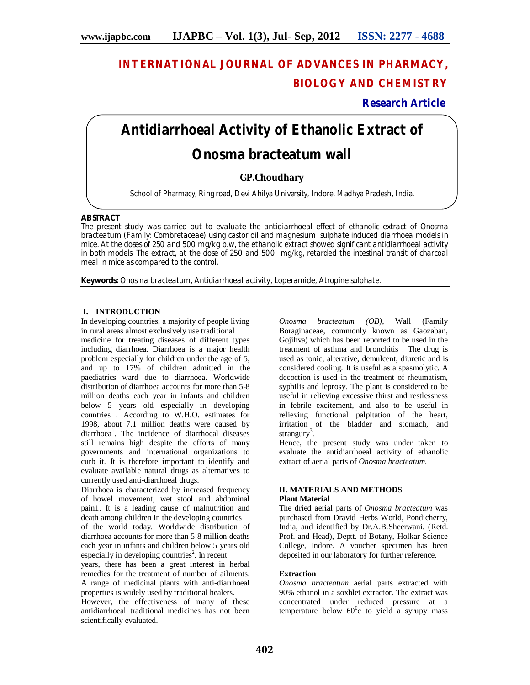# **INTERNATIONAL JOURNAL OF ADVANCES IN PHARMACY, BIOLOGY AND CHEMISTRY**

# **Research Article**

# **Antidiarrhoeal Activity of Ethanolic Extract of** *Onosma bracteatum wall*

# **GP.Choudhary**

School of Pharmacy, Ring road, Devi Ahilya University, Indore, Madhya Pradesh, India**.**

#### **ABSTRACT**

The present study was carried out to evaluate the antidiarrhoeal effect of ethanolic extract of *Onosma bracteatum* (Family: Combretaceae) using castor oil and magnesium sulphate induced diarrhoea models in mice. At the doses of 250 and 500 mg/kg b.w, the ethanolic extract showed significant antidiarrhoeal activity in both models. The extract, at the dose of 250 and 500 mg/kg, retarded the intestinal transit of charcoal meal in mice as compared to the control.

**Keywords:** *Onosma bracteatum*, Antidiarrhoeal activity, Loperamide, Atropine sulphate.

### **I. INTRODUCTION**

In developing countries, a majority of people living in rural areas almost exclusively use traditional

medicine for treating diseases of different types including diarrhoea. Diarrhoea is a major health problem especially for children under the age of 5, and up to 17% of children admitted in the paediatrics ward due to diarrhoea. Worldwide distribution of diarrhoea accounts for more than 5-8 million deaths each year in infants and children below 5 years old especially in developing countries . According to W.H.O. estimates for 1998, about 7.1 million deaths were caused by diarrhoea<sup>1</sup>. The incidence of diarrhoeal diseases still remains high despite the efforts of many governments and international organizations to curb it. It is therefore important to identify and evaluate available natural drugs as alternatives to currently used anti-diarrhoeal drugs.

Diarrhoea is characterized by increased frequency of bowel movement, wet stool and abdominal pain1. It is a leading cause of malnutrition and death among children in the developing countries

of the world today. Worldwide distribution of diarrhoea accounts for more than 5-8 million deaths each year in infants and children below 5 years old especially in developing countries<sup>2</sup>. In recent

years, there has been a great interest in herbal remedies for the treatment of number of ailments. A range of medicinal plants with anti-diarrhoeal properties is widely used by traditional healers.

However, the effectiveness of many of these antidiarrhoeal traditional medicines has not been scientifically evaluated.

*Onosma bracteatum (OB)*, Wall (Family Boraginaceae, commonly known as Gaozaban, Gojihva) which has been reported to be used in the treatment of asthma and bronchitis . The drug is used as tonic, alterative, demulcent, diuretic and is considered cooling. It is useful as a spasmolytic. A decoction is used in the treatment of rheumatism, syphilis and leprosy. The plant is considered to be useful in relieving excessive thirst and restlessness in febrile excitement, and also to be useful in relieving functional palpitation of the heart, irritation of the bladder and stomach, and strangury<sup>3</sup>.

Hence, the present study was under taken to evaluate the antidiarrhoeal activity of ethanolic extract of aerial parts of *Onosma bracteatum.*

#### **II. MATERIALS AND METHODS Plant Material**

The dried aerial parts of *Onosma bracteatum* was purchased from Dravid Herbs World, Pondicherry, India, and identified by Dr.A.B.Sheerwani. (Retd. Prof. and Head), Deptt. of Botany, Holkar Science College, Indore. A voucher specimen has been deposited in our laboratory for further reference.

# **Extraction**

*Onosma bracteatum* aerial parts extracted with 90% ethanol in a soxhlet extractor. The extract was concentrated under reduced pressure at a temperature below  $60^{\circ}$ c to yield a syrupy mass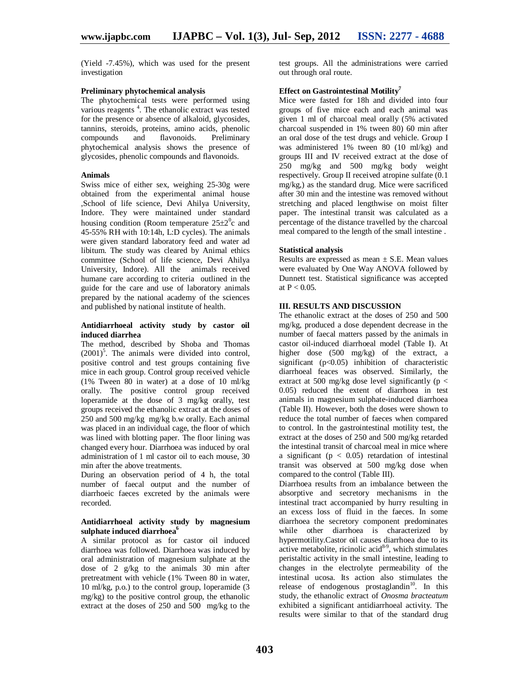(Yield -7.45%), which was used for the present investigation

#### **Preliminary phytochemical analysis**

The phytochemical tests were performed using various reagents<sup>4</sup>. The ethanolic extract was tested for the presence or absence of alkaloid, glycosides, tannins, steroids, proteins, amino acids, phenolic Preliminary phytochemical analysis shows the presence of glycosides, phenolic compounds and flavonoids.

#### **Animals**

Swiss mice of either sex, weighing 25-30g were obtained from the experimental animal house ,School of life science, Devi Ahilya University, Indore. They were maintained under standard housing condition (Room temperature  $25\pm2$ <sup>o</sup>c and 45-55% RH with 10:14h, L:D cycles). The animals were given standard laboratory feed and water ad libitum. The study was cleared by Animal ethics committee (School of life science, Devi Ahilya University, Indore). All the animals received humane care according to criteria outlined in the guide for the care and use of laboratory animals prepared by the national academy of the sciences and published by national institute of health.

#### **Antidiarrhoeal activity study by castor oil induced diarrhea**

The method, described by Shoba and Thomas  $(2001)^5$ . The animals were divided into control, positive control and test groups containing five mice in each group. Control group received vehicle (1% Tween 80 in water) at a dose of 10 ml/kg orally. The positive control group received loperamide at the dose of 3 mg/kg orally, test groups received the ethanolic extract at the doses of 250 and 500 mg/kg mg/kg b.w orally. Each animal was placed in an individual cage, the floor of which was lined with blotting paper. The floor lining was changed every hour. Diarrhoea was induced by oral administration of 1 ml castor oil to each mouse, 30 min after the above treatments.

During an observation period of 4 h, the total number of faecal output and the number of diarrhoeic faeces excreted by the animals were recorded.

#### **Antidiarrhoeal activity study by magnesium sulphate induced diarrhoea<sup>6</sup>**

A similar protocol as for castor oil induced diarrhoea was followed. Diarrhoea was induced by oral administration of magnesium sulphate at the dose of 2 g/kg to the animals 30 min after pretreatment with vehicle (1% Tween 80 in water, 10 ml/kg, p.o.) to the control group, loperamide (3 mg/kg) to the positive control group, the ethanolic extract at the doses of 250 and 500 mg/kg to the

test groups. All the administrations were carried out through oral route.

#### **Effect on Gastrointestinal Motility<sup>7</sup>**

Mice were fasted for 18h and divided into four groups of five mice each and each animal was given 1 ml of charcoal meal orally (5% activated charcoal suspended in 1% tween 80) 60 min after an oral dose of the test drugs and vehicle. Group I was administered 1% tween 80 (10 ml/kg) and groups III and IV received extract at the dose of 250 mg/kg and 500 mg/kg body weight respectively. Group II received atropine sulfate (0.1 mg/kg,) as the standard drug. Mice were sacrificed after 30 min and the intestine was removed without stretching and placed lengthwise on moist filter paper. The intestinal transit was calculated as a percentage of the distance travelled by the charcoal meal compared to the length of the small intestine .

#### **Statistical analysis**

Results are expressed as mean  $\pm$  S.E. Mean values were evaluated by One Way ANOVA followed by Dunnett test. Statistical significance was accepted at  $P < 0.05$ .

#### **III. RESULTS AND DISCUSSION**

The ethanolic extract at the doses of 250 and 500 mg/kg, produced a dose dependent decrease in the number of faecal matters passed by the animals in castor oil-induced diarrhoeal model (Table I). At higher dose (500 mg/kg) of the extract, a significant  $(p<0.05)$  inhibition of characteristic diarrhoeal feaces was observed. Similarly, the extract at 500 mg/kg dose level significantly ( $p <$ 0.05) reduced the extent of diarrhoea in test animals in magnesium sulphate-induced diarrhoea (Table II). However, both the doses were shown to reduce the total number of faeces when compared to control. In the gastrointestinal motility test, the extract at the doses of 250 and 500 mg/kg retarded the intestinal transit of charcoal meal in mice where a significant ( $p < 0.05$ ) retardation of intestinal transit was observed at 500 mg/kg dose when compared to the control (Table III).

Diarrhoea results from an imbalance between the absorptive and secretory mechanisms in the intestinal tract accompanied by hurry resulting in an excess loss of fluid in the faeces. In some diarrhoea the secretory component predominates while other diarrhoea is characterized by hypermotility.Castor oil causes diarrhoea due to its active metabolite, ricinolic acid<sup>8-9</sup>, which stimulates peristaltic activity in the small intestine, leading to changes in the electrolyte permeability of the intestinal ucosa. Its action also stimulates the release of endogenous prostaglandin<sup>10</sup>. In this study, the ethanolic extract of *Onosma bracteatum*  exhibited a significant antidiarrhoeal activity. The results were similar to that of the standard drug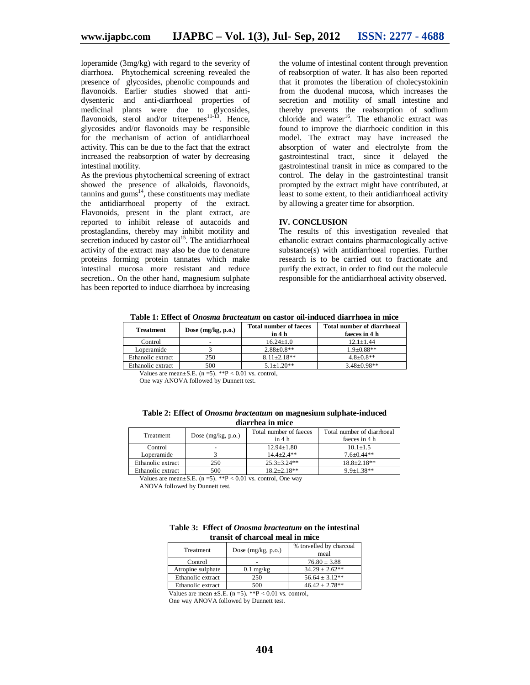loperamide (3mg/kg) with regard to the severity of diarrhoea. Phytochemical screening revealed the presence of glycosides, phenolic compounds and flavonoids. Earlier studies showed that antidysenteric and anti-diarrhoeal properties of medicinal plants were due to glycosides, flavonoids, sterol and/or triterpenes<sup>11-13</sup>. Hence, glycosides and/or flavonoids may be responsible for the mechanism of action of antidiarrhoeal activity. This can be due to the fact that the extract increased the reabsorption of water by decreasing intestinal motility.

As the previous phytochemical screening of extract showed the presence of alkaloids, flavonoids,  $tannins$  and  $gums<sup>14</sup>$ , these constituents may mediate the antidiarrhoeal property of the extract. Flavonoids, present in the plant extract, are reported to inhibit release of autacoids and prostaglandins, thereby may inhibit motility and secretion induced by castor  $\dot{\text{oil}}^{15}$ . The antidiarrhoeal activity of the extract may also be due to denature proteins forming protein tannates which make intestinal mucosa more resistant and reduce secretion.. On the other hand, magnesium sulphate has been reported to induce diarrhoea by increasing

the volume of intestinal content through prevention of reabsorption of water. It has also been reported that it promotes the liberation of cholecystokinin from the duodenal mucosa, which increases the secretion and motility of small intestine and thereby prevents the reabsorption of sodium chloride and water<sup>16</sup>. The ethanolic extract was found to improve the diarrhoeic condition in this model. The extract may have increased the absorption of water and electrolyte from the gastrointestinal tract, since it delayed the gastrointestinal transit in mice as compared to the control. The delay in the gastrointestinal transit prompted by the extract might have contributed, at least to some extent, to their antidiarrhoeal activity by allowing a greater time for absorption.

#### **IV. CONCLUSION**

The results of this investigation revealed that ethanolic extract contains pharmacologically active substance(s) with antidiarrhoeal roperties. Further research is to be carried out to fractionate and purify the extract, in order to find out the molecule responsible for the antidiarrhoeal activity observed.

**Table 1: Effect of** *Onosma bracteatum* **on castor oil-induced diarrhoea in mice**

| <b>Treatment</b>                                            | Dose $(mg/kg, p.o.)$ | <b>Total number of faeces</b><br>in 4 h | <b>Total number of diarrhoeal</b><br>faeces in 4 h |  |
|-------------------------------------------------------------|----------------------|-----------------------------------------|----------------------------------------------------|--|
| Control                                                     |                      | $16.24 + 1.0$                           | $12.1 + 1.44$                                      |  |
| Loperamide                                                  |                      | $2.88 \pm 0.8**$                        | $1.9 + 0.88**$                                     |  |
| Ethanolic extract                                           | 250                  | $8.11 + 2.18$ **                        | $4.8 \pm 0.8$ **                                   |  |
| Ethanolic extract                                           | 500                  | $5.1 + 1.20**$                          | $3.48 + 0.98**$                                    |  |
| Values are mean $\pm$ S.E. (n = 5). **P < 0.01 vs. control, |                      |                                         |                                                    |  |

One way ANOVA followed by Dunnett test.

|  |                  | Table 2: Effect of <i>Onosma bracteatum</i> on magnesium sulphate-induced |
|--|------------------|---------------------------------------------------------------------------|
|  | diarrhea in mice |                                                                           |

| Treatment         | Dose $(mg/kg, p.o.)$ | Total number of faeces<br>in 4 <sub>h</sub> | Total number of diarrhoeal<br>faeces in 4 h |
|-------------------|----------------------|---------------------------------------------|---------------------------------------------|
| Control           |                      | $12.94 + 1.80$                              | $10.1 + 1.5$                                |
| Loperamide        |                      | $144 + 24$                                  | $7.6 + 0.44**$                              |
| Ethanolic extract | 250                  | $25.3 + 3.24**$                             | $18.8 + 2.18**$                             |
| Ethanolic extract | 500                  | $18.2 + 2.18**$                             | $9.9 + 1.38$ **                             |

Values are mean $\pm$ S.E. (n = 5). \*\*P < 0.01 vs. control, One way

ANOVA followed by Dunnett test.

| Table 3: Effect of <i>Onosma bracteatum</i> on the intestinal |
|---------------------------------------------------------------|
| transit of charcoal meal in mice                              |

| Treatment         | Dose $(mg/kg, p.o.)$ | % travelled by charcoal<br>meal |  |
|-------------------|----------------------|---------------------------------|--|
| Control           |                      | $76.80 \pm 3.88$                |  |
| Atropine sulphate | $0.1$ mg/kg          | $34.29 \pm 2.62**$              |  |
| Ethanolic extract | 250                  | $56.64 \pm 3.12**$              |  |
| Ethanolic extract | 500                  | $46.42 \pm 2.78**$              |  |

Values are mean  $\pm$ S.E. (n = 5). \*\*P < 0.01 vs. control,

One way ANOVA followed by Dunnett test.